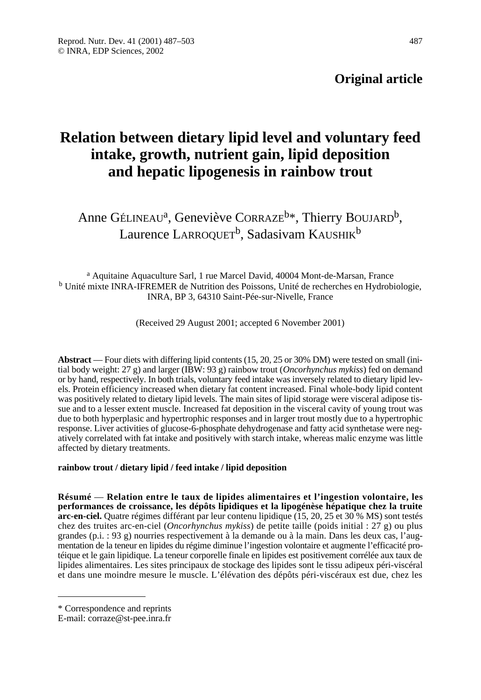# **Original article**

# **Relation between dietary lipid level and voluntary feed intake, growth, nutrient gain, lipid deposition and hepatic lipogenesis in rainbow trout**

Anne GÉLINEAU<sup>a</sup>, Geneviève CORRAZE<sup>b\*</sup>, Thierry BOUJARD<sup>b</sup>, Laurence LARROQUET<sup>b</sup>, Sadasivam KAUSHIK<sup>b</sup>

<sup>a</sup> Aquitaine Aquaculture Sarl, 1 rue Marcel David, 40004 Mont-de-Marsan, France <sup>b</sup> Unité mixte INRA-IFREMER de Nutrition des Poissons, Unité de recherches en Hydrobiologie, INRA, BP 3, 64310 Saint-Pée-sur-Nivelle, France

(Received 29 August 2001; accepted 6 November 2001)

**Abstract** — Four diets with differing lipid contents (15, 20, 25 or 30% DM) were tested on small (initial body weight: 27 g) and larger (IBW: 93 g) rainbow trout (*Oncorhynchus mykiss*) fed on demand or by hand, respectively. In both trials, voluntary feed intake was inversely related to dietary lipid levels. Protein efficiency increased when dietary fat content increased. Final whole-body lipid content was positively related to dietary lipid levels. The main sites of lipid storage were visceral adipose tissue and to a lesser extent muscle. Increased fat deposition in the visceral cavity of young trout was due to both hyperplasic and hypertrophic responses and in larger trout mostly due to a hypertrophic response. Liver activities of glucose-6-phosphate dehydrogenase and fatty acid synthetase were negatively correlated with fat intake and positively with starch intake, whereas malic enzyme was little affected by dietary treatments.

### **rainbow trout / dietary lipid / feed intake / lipid deposition**

**Résumé** — **Relation entre le taux de lipides alimentaires et l'ingestion volontaire, les performances de croissance, les dépôts lipidiques et la lipogénèse hépatique chez la truite arc-en-ciel.** Quatre régimes différant par leur contenu lipidique (15, 20, 25 et 30 % MS) sont testés chez des truites arc-en-ciel (*Oncorhynchus mykiss*) de petite taille (poids initial : 27 g) ou plus grandes (p.i. : 93 g) nourries respectivement à la demande ou à la main. Dans les deux cas, l'augmentation de la teneur en lipides du régime diminue l'ingestion volontaire et augmente l'efficacité protéique et le gain lipidique. La teneur corporelle finale en lipides est positivement corrélée aux taux de lipides alimentaires. Les sites principaux de stockage des lipides sont le tissu adipeux péri-viscéral et dans une moindre mesure le muscle. L'élévation des dépôts péri-viscéraux est due, chez les

<sup>\*</sup> Correspondence and reprints

E-mail: corraze@st-pee.inra.fr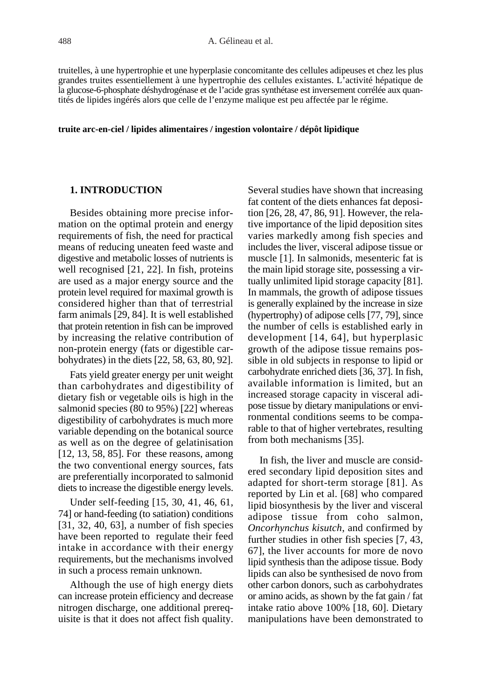truitelles, à une hypertrophie et une hyperplasie concomitante des cellules adipeuses et chez les plus grandes truites essentiellement à une hypertrophie des cellules existantes. L'activité hépatique de la glucose-6-phosphate déshydrogénase et de l'acide gras synthétase est inversement corrélée aux quantités de lipides ingérés alors que celle de l'enzyme malique est peu affectée par le régime.

#### **truite arc-en-ciel / lipides alimentaires / ingestion volontaire / dépôt lipidique**

# **1. INTRODUCTION**

Besides obtaining more precise information on the optimal protein and energy requirements of fish, the need for practical means of reducing uneaten feed waste and digestive and metabolic losses of nutrients is well recognised [21, 22]. In fish, proteins are used as a major energy source and the protein level required for maximal growth is considered higher than that of terrestrial farm animals [29, 84]. It is well established that protein retention in fish can be improved by increasing the relative contribution of non-protein energy (fats or digestible carbohydrates) in the diets [22, 58, 63, 80, 92].

Fats yield greater energy per unit weight than carbohydrates and digestibility of dietary fish or vegetable oils is high in the salmonid species (80 to 95%) [22] whereas digestibility of carbohydrates is much more variable depending on the botanical source as well as on the degree of gelatinisation [12, 13, 58, 85]. For these reasons, among the two conventional energy sources, fats are preferentially incorporated to salmonid diets to increase the digestible energy levels.

Under self-feeding [15, 30, 41, 46, 61, 74] or hand-feeding (to satiation) conditions [31, 32, 40, 63], a number of fish species have been reported to regulate their feed intake in accordance with their energy requirements, but the mechanisms involved in such a process remain unknown.

Although the use of high energy diets can increase protein efficiency and decrease nitrogen discharge, one additional prerequisite is that it does not affect fish quality. Several studies have shown that increasing fat content of the diets enhances fat deposition [26, 28, 47, 86, 91]. However, the relative importance of the lipid deposition sites varies markedly among fish species and includes the liver, visceral adipose tissue or muscle [1]. In salmonids, mesenteric fat is the main lipid storage site, possessing a virtually unlimited lipid storage capacity [81]. In mammals, the growth of adipose tissues is generally explained by the increase in size (hypertrophy) of adipose cells [77, 79], since the number of cells is established early in development [14, 64], but hyperplasic growth of the adipose tissue remains possible in old subjects in response to lipid or carbohydrate enriched diets [36, 37]. In fish, available information is limited, but an increased storage capacity in visceral adipose tissue by dietary manipulations or environmental conditions seems to be comparable to that of higher vertebrates, resulting from both mechanisms [35].

In fish, the liver and muscle are considered secondary lipid deposition sites and adapted for short-term storage [81]. As reported by Lin et al. [68] who compared lipid biosynthesis by the liver and visceral adipose tissue from coho salmon, *Oncorhynchus kisutch*, and confirmed by further studies in other fish species [7, 43, 67], the liver accounts for more de novo lipid synthesis than the adipose tissue. Body lipids can also be synthesised de novo from other carbon donors, such as carbohydrates or amino acids, as shown by the fat gain / fat intake ratio above 100% [18, 60]. Dietary manipulations have been demonstrated to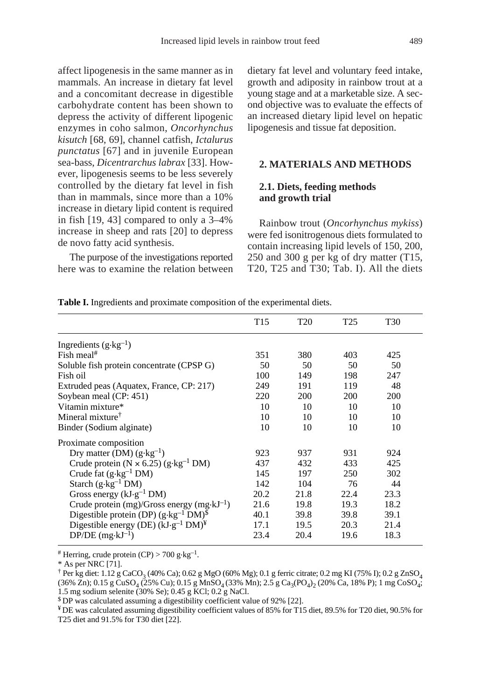affect lipogenesis in the same manner as in mammals. An increase in dietary fat level and a concomitant decrease in digestible carbohydrate content has been shown to depress the activity of different lipogenic enzymes in coho salmon, *Oncorhynchus kisutch* [68, 69], channel catfish, *Ictalurus punctatus* [67] and in juvenile European sea-bass, *Dicentrarchus labrax* [33]. However, lipogenesis seems to be less severely controlled by the dietary fat level in fish than in mammals, since more than a 10% increase in dietary lipid content is required in fish [19, 43] compared to only a 3–4% increase in sheep and rats [20] to depress de novo fatty acid synthesis.

The purpose of the investigations reported here was to examine the relation between dietary fat level and voluntary feed intake, growth and adiposity in rainbow trout at a young stage and at a marketable size. A second objective was to evaluate the effects of an increased dietary lipid level on hepatic lipogenesis and tissue fat deposition.

# **2. MATERIALS AND METHODS**

# **2.1. Diets, feeding methods and growth trial**

Rainbow trout (*Oncorhynchus mykiss*) were fed isonitrogenous diets formulated to contain increasing lipid levels of 150, 200, 250 and 300 g per kg of dry matter (T15, T20, T25 and T30; Tab. I). All the diets

**Table I.** Ingredients and proximate composition of the experimental diets.

|                                                           | T15  | T <sub>20</sub> | T <sub>25</sub> | T <sub>30</sub> |
|-----------------------------------------------------------|------|-----------------|-----------------|-----------------|
| Ingredients $(g \cdot kg^{-1})$                           |      |                 |                 |                 |
| Fish meal <sup>#</sup>                                    | 351  | 380             | 403             | 425             |
| Soluble fish protein concentrate (CPSP G)                 | 50   | 50              | 50              | 50              |
| Fish oil                                                  | 100  | 149             | 198             | 247             |
| Extruded peas (Aquatex, France, CP: 217)                  | 249  | 191             | 119             | 48              |
| Soybean meal (CP: 451)                                    | 220  | 200             | 200             | <b>200</b>      |
| Vitamin mixture*                                          | 10   | 10              | 10              | 10              |
| Mineral mixture <sup>†</sup>                              | 10   | 10              | 10              | 10              |
| Binder (Sodium alginate)                                  | 10   | 10              | 10              | 10              |
| Proximate composition                                     |      |                 |                 |                 |
| Dry matter (DM) $(g \cdot kg^{-1})$                       | 923  | 937             | 931             | 924             |
| Crude protein ( $N \times 6.25$ ) ( $g \cdot kg^{-1}$ DM) | 437  | 432             | 433             | 425             |
| Crude fat $(g \cdot kg^{-1} DM)$                          | 145  | 197             | 250             | 302             |
| Starch $(g \cdot kg^{-1} DM)$                             | 142  | 104             | 76              | 44              |
| Gross energy ( $kJ \cdot g^{-1}$ DM)                      | 20.2 | 21.8            | 22.4            | 23.3            |
| Crude protein $(mg)/G$ ross energy $(mg \cdot kJ^{-1})$   | 21.6 | 19.8            | 19.3            | 18.2            |
| Digestible protein (DP) $(g \cdot kg^{-1} DM)^{\$}$       | 40.1 | 39.8            | 39.8            | 39.1            |
| Digestible energy (DE) $(kJ \cdot g^{-1} DM)^{\Psi}$      | 17.1 | 19.5            | 20.3            | 21.4            |
| $DP/DE$ (mg·kJ <sup>-1</sup> )                            | 23.4 | 20.4            | 19.6            | 18.3            |

<sup>#</sup> Herring, crude protein (CP) > 700 g $\text{kg}^{-1}$ .

\* As per NRC [71].

\$ DP was calculated assuming a digestibility coefficient value of 92% [22].

 $*$  DE was calculated assuming digestibility coefficient values of 85% for T15 diet, 89.5% for T20 diet, 90.5% for T25 diet and 91.5% for T30 diet [22].

 $\dagger$  Per kg diet: 1.12 g CaCO<sub>3</sub> (40% Ca); 0.62 g MgO (60% Mg); 0.1 g ferric citrate; 0.2 mg KI (75% I); 0.2 g ZnSO<sub>4</sub>  $(36\% \text{ Zn})$ ; 0.15 g CuSO<sub>4</sub> (25% Cu); 0.15 g MnSO<sub>4</sub> (33% Mn); 2.5 g Ca<sub>3</sub>(PO<sub>4</sub>)<sub>2</sub> (20% Ca, 18% P); 1 mg CoSO<sub>4</sub>; 1.5 mg sodium selenite (30% Se); 0.45 g KCl; 0.2 g NaCl.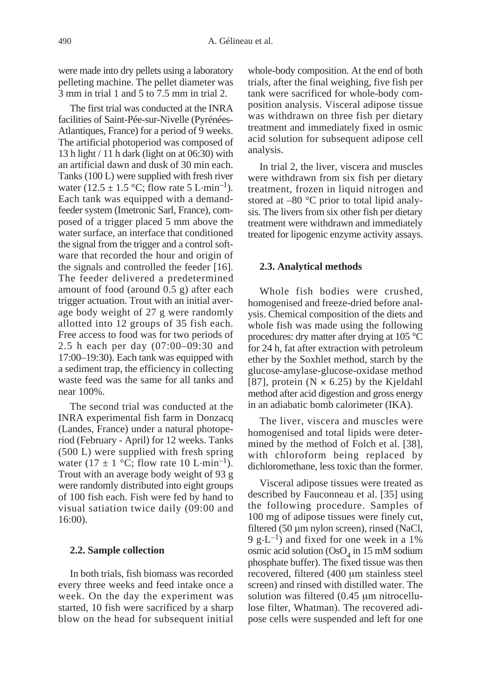were made into dry pellets using a laboratory pelleting machine. The pellet diameter was 3 mm in trial 1 and 5 to 7.5 mm in trial 2.

The first trial was conducted at the INRA facilities of Saint-Pée-sur-Nivelle (Pyrénées-Atlantiques, France) for a period of 9 weeks. The artificial photoperiod was composed of 13 h light / 11 h dark (light on at 06:30) with an artificial dawn and dusk of 30 min each. Tanks (100 L) were supplied with fresh river water (12.5  $\pm$  1.5 °C; flow rate 5 L·min<sup>-1</sup>). Each tank was equipped with a demandfeeder system (Imetronic Sarl, France), composed of a trigger placed 5 mm above the water surface, an interface that conditioned the signal from the trigger and a control software that recorded the hour and origin of the signals and controlled the feeder [16]. The feeder delivered a predetermined amount of food (around 0.5 g) after each trigger actuation. Trout with an initial average body weight of 27 g were randomly allotted into 12 groups of 35 fish each. Free access to food was for two periods of 2.5 h each per day (07:00–09:30 and 17:00–19:30). Each tank was equipped with a sediment trap, the efficiency in collecting waste feed was the same for all tanks and near 100%.

The second trial was conducted at the INRA experimental fish farm in Donzacq (Landes, France) under a natural photoperiod (February - April) for 12 weeks. Tanks (500 L) were supplied with fresh spring water (17  $\pm$  1 °C; flow rate 10 L·min<sup>-1</sup>). Trout with an average body weight of 93 g were randomly distributed into eight groups of 100 fish each. Fish were fed by hand to visual satiation twice daily (09:00 and 16:00).

#### **2.2. Sample collection**

In both trials, fish biomass was recorded every three weeks and feed intake once a week. On the day the experiment was started, 10 fish were sacrificed by a sharp blow on the head for subsequent initial whole-body composition. At the end of both trials, after the final weighing, five fish per tank were sacrificed for whole-body composition analysis. Visceral adipose tissue was withdrawn on three fish per dietary treatment and immediately fixed in osmic acid solution for subsequent adipose cell analysis.

In trial 2, the liver, viscera and muscles were withdrawn from six fish per dietary treatment, frozen in liquid nitrogen and stored at –80 °C prior to total lipid analysis. The livers from six other fish per dietary treatment were withdrawn and immediately treated for lipogenic enzyme activity assays.

#### **2.3. Analytical methods**

Whole fish bodies were crushed, homogenised and freeze-dried before analysis. Chemical composition of the diets and whole fish was made using the following procedures: dry matter after drying at 105 °C for 24 h, fat after extraction with petroleum ether by the Soxhlet method, starch by the glucose-amylase-glucose-oxidase method [87], protein ( $N \times 6.25$ ) by the Kjeldahl method after acid digestion and gross energy in an adiabatic bomb calorimeter (IKA).

The liver, viscera and muscles were homogenised and total lipids were determined by the method of Folch et al. [38], with chloroform being replaced by dichloromethane, less toxic than the former.

Visceral adipose tissues were treated as described by Fauconneau et al. [35] using the following procedure. Samples of 100 mg of adipose tissues were finely cut, filtered (50 µm nylon screen), rinsed (NaCl, 9 g $\cdot$ L<sup>-1</sup>) and fixed for one week in a 1% osmic acid solution (OsO $_4$  in 15 mM sodium phosphate buffer). The fixed tissue was then recovered, filtered (400 µm stainless steel screen) and rinsed with distilled water. The solution was filtered (0.45 um nitrocellulose filter, Whatman). The recovered adipose cells were suspended and left for one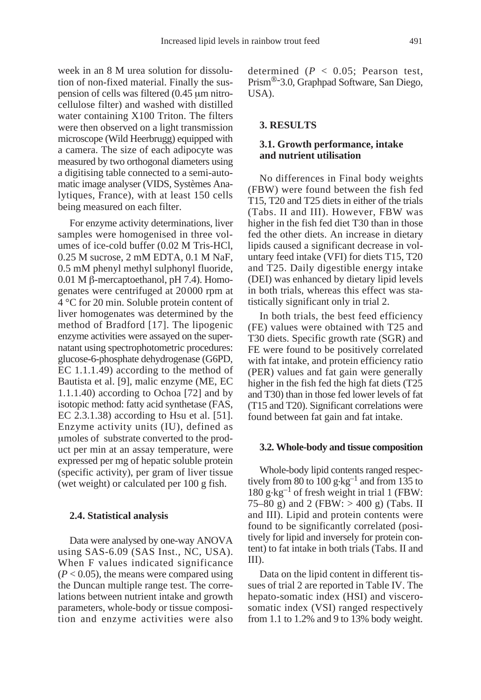week in an 8 M urea solution for dissolution of non-fixed material. Finally the suspension of cells was filtered (0.45  $\mu$ m nitrocellulose filter) and washed with distilled water containing X100 Triton. The filters were then observed on a light transmission microscope (Wild Heerbrugg) equipped with a camera. The size of each adipocyte was measured by two orthogonal diameters using a digitising table connected to a semi-automatic image analyser (VIDS, Systèmes Analytiques, France), with at least 150 cells being measured on each filter.

For enzyme activity determinations, liver samples were homogenised in three volumes of ice-cold buffer (0.02 M Tris-HCl, 0.25 M sucrose, 2 mM EDTA, 0.1 M NaF, 0.5 mM phenyl methyl sulphonyl fluoride, 0.01 M  $\beta$ -mercaptoethanol, pH 7.4). Homogenates were centrifuged at 20000 rpm at 4 °C for 20 min. Soluble protein content of liver homogenates was determined by the method of Bradford [17]. The lipogenic enzyme activities were assayed on the supernatant using spectrophotometric procedures: glucose-6-phosphate dehydrogenase (G6PD, EC 1.1.1.49) according to the method of Bautista et al. [9], malic enzyme (ME, EC 1.1.1.40) according to Ochoa [72] and by isotopic method: fatty acid synthetase (FAS, EC 2.3.1.38) according to Hsu et al. [51]. Enzyme activity units (IU), defined as mmoles of substrate converted to the product per min at an assay temperature, were expressed per mg of hepatic soluble protein (specific activity), per gram of liver tissue (wet weight) or calculated per 100 g fish.

#### **2.4. Statistical analysis**

Data were analysed by one-way ANOVA using SAS-6.09 (SAS Inst., NC, USA). When F values indicated significance  $(P < 0.05)$ , the means were compared using the Duncan multiple range test. The correlations between nutrient intake and growth parameters, whole-body or tissue composition and enzyme activities were also determined (*P* < 0.05; Pearson test, Prism<sup>®-</sup>3.0, Graphpad Software, San Diego,  $IISA$ ).

### **3. RESULTS**

#### **3.1. Growth performance, intake and nutrient utilisation**

No differences in Final body weights (FBW) were found between the fish fed T15, T20 and T25 diets in either of the trials (Tabs. II and III). However, FBW was higher in the fish fed diet T30 than in those fed the other diets. An increase in dietary lipids caused a significant decrease in voluntary feed intake (VFI) for diets T15, T20 and T25. Daily digestible energy intake (DEI) was enhanced by dietary lipid levels in both trials, whereas this effect was statistically significant only in trial 2.

In both trials, the best feed efficiency (FE) values were obtained with T25 and T30 diets. Specific growth rate (SGR) and FE were found to be positively correlated with fat intake, and protein efficiency ratio (PER) values and fat gain were generally higher in the fish fed the high fat diets (T25 and T30) than in those fed lower levels of fat (T15 and T20). Significant correlations were found between fat gain and fat intake.

#### **3.2. Whole-body and tissue composition**

Whole-body lipid contents ranged respectively from 80 to 100 g $\text{kg}^{-1}$  and from 135 to  $180 \text{ g} \cdot \text{kg}^{-1}$  of fresh weight in trial 1 (FBW: 75–80 g) and 2 (FBW:  $> 400$  g) (Tabs. II and III). Lipid and protein contents were found to be significantly correlated (positively for lipid and inversely for protein content) to fat intake in both trials (Tabs. II and III).

Data on the lipid content in different tissues of trial 2 are reported in Table IV. The hepato-somatic index (HSI) and viscerosomatic index (VSI) ranged respectively from 1.1 to 1.2% and 9 to 13% body weight.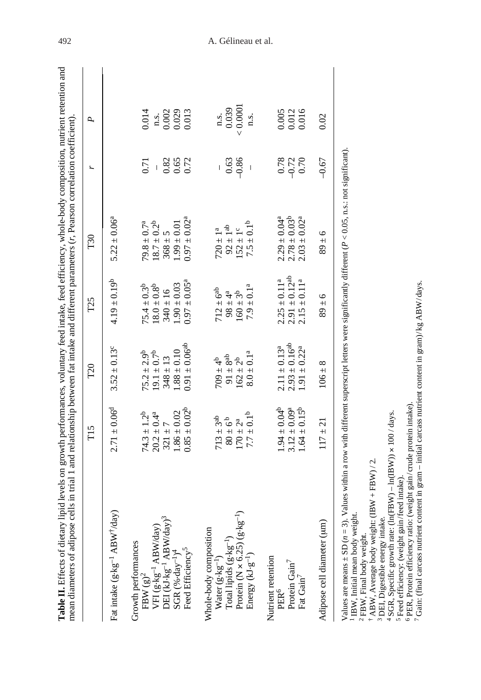|                                                                                                                                           | T <sub>15</sub>                                                                               | T <sub>20</sub>                                       | T <sub>25</sub>                                       | T30                                                  |                        | Р,                                                              |
|-------------------------------------------------------------------------------------------------------------------------------------------|-----------------------------------------------------------------------------------------------|-------------------------------------------------------|-------------------------------------------------------|------------------------------------------------------|------------------------|-----------------------------------------------------------------|
| Fat intake (g·kg <sup>-1</sup> ABW <sup>+</sup> /day)                                                                                     | $2.71 \pm 0.06^d$                                                                             | $3.52 \pm 0.13^{\circ}$                               | $4.19 \pm 0.19^b$                                     | $5.22 \pm 0.06^a$                                    |                        |                                                                 |
| Growth performances<br>FBW $(g)^2$                                                                                                        | $74.3 \pm 1.2^b$<br>$20.2 \pm 0.4^a$                                                          | $75.2 \pm 2.9^b$                                      | $75.4 \pm 0.3^b$                                      | $79.8 \pm 0.7^{\mathrm{a}}$                          | 0.71                   | 0.014                                                           |
|                                                                                                                                           |                                                                                               | $19.1 \pm 0.7^b$                                      | $18.0 \pm 0.8^{\text{b}}$                             | $18.7 \pm 0.2^b$                                     |                        |                                                                 |
| VFI $(g \cdot kg^{-1} ABW/day)$<br>DEI (kJ $kg^{-1} ABW/day$ ) <sup>3</sup><br>SGR (%-day <sup>-1)4</sup><br>Feed Efficiency <sup>5</sup> | $1.86 \pm 0.02$<br>$321 + 7$                                                                  | $348 \pm 13$                                          | $0.04 \pm 0.03$<br>$340 \pm 16$                       | $368 \pm 5$<br>1.99 $\pm$ 0.01                       | 0.82<br>0.65<br>0.72   | $\begin{array}{c} \n 0.002 \\ 0.002 \\ 0.013\n \end{array}$     |
|                                                                                                                                           | $0.85 \pm 0.02^b$                                                                             | $1.88 \pm 0.10$<br>0.91 $\pm 0.06$ <sup>ab</sup>      | $0.97 \pm 0.05^{\rm a}$                               | $0.97 \pm 0.02^a$                                    |                        |                                                                 |
| Water $(g \cdot kg^{-1})$<br>Total lipids $(g \cdot kg^{-1})$<br>Protein (N × 6.25) $(g \cdot kg^{-1})$<br>Whole-body composition         | $713 \pm 3^{ab}$                                                                              | $4p \mp 60L$                                          | $712 \pm 6^{ab}$<br>98 $\pm 4^{a}$<br>160 $\pm 3^{b}$ | $720 \pm 1^a$                                        | 0.63                   | $\begin{array}{c} \text{n.s.} \\ 0.039 \\ < 0.0001 \end{array}$ |
| Energy $(kJ \cdot g^{-1})$                                                                                                                | $7.7 \pm 0.1^b$<br>$\begin{array}{c} 80 \pm 6^{\text{b}} \\ 170 \pm 2^{\text{a}} \end{array}$ | $8.0 \pm 0.1^{a}$<br>$91 \pm 8^{ab}$<br>$162 \pm 2^b$ | $7.9 \pm 0.1^a$                                       | $7.5 \pm 0.1^{\rm b}$<br>$92 \pm 1^{ab}$<br>152 ± 1° | $-0.86$                | n.s.                                                            |
| Nutrient retention<br>Protein Gain <sup>7</sup><br>PER <sup>6</sup>                                                                       | $1.94 \pm 0.04^{b}$<br>$3.12 \pm 0.09^a$                                                      | $2.93 \pm 0.16^{ab}$<br>$2.11 \pm 0.13^a$             | $2.91\pm0.12^{\rm ab}$<br>$2.25 \pm 0.11^a$           | $2.78 \pm 0.03^b$<br>$2.29 \pm 0.04$ <sup>a</sup>    | $0.78$<br>0.72<br>0.70 | $\begin{array}{c} 0.005 \\ 0.012 \\ 0.016 \end{array}$          |
| Fat Gain <sup>7</sup>                                                                                                                     | $1.64 \pm 0.15^{b}$                                                                           | $1.91 \pm 0.22^a$                                     | $2.15 \pm 0.11^a$                                     | $2.03 \pm 0.02^a$                                    |                        |                                                                 |
| Adipose cell diameter (um)                                                                                                                | $117 \pm 21$                                                                                  | $106 \pm 8$                                           | $9 \pm 6$                                             | $9 + 6$                                              | $-0.67$                | 0.02                                                            |
|                                                                                                                                           |                                                                                               |                                                       |                                                       |                                                      |                        |                                                                 |

Values are means  $\pm$  SD ( $n = 3$ ). Values within a row with different superscript letters were significantly different ( $P < 0.05$ , n.s.: not significant). Values are means  $\pm$  SD ( $n = 3$ ). Values within a row with different superscript letters were significantly different ( $P < 0.05$ , n.s.: not significant).

<sup>1</sup> IBW, Initial mean body weight. IBW, Initial mean body weight.

⊣ ⊢ FBW, Final body weight.

ABW, Average body weight: (IBW + FBW) / 2.

<sup>3</sup> DEI, Digestible energy intake. DEI, Digestible energy intake.

4 SGR, Specific growth rate: (ln(FBW) - ln(IBW)) × 100 / days.  $-$  SGR, Specific growth rate: (ln(FBW) – ln(IBW))  $\times$  100 / days.

<sup>5</sup> Feed efficiency: (weight gain/feed intake). Feed efficiency: (weight gain/feed intake).

<sup>6</sup> PER, Protein efficiency ratio: (weight gain/crude protein intake). PER, Protein efficiency ratio: (weight gain/crude protein intake).

7 Gain: (final carcass nutrient content in gram - initial carcass nutrient content in gram)/kg ABW/days. Gain: (final carcass nutrient content in gram – initial carcass nutrient content in gram)/kg ABW/days.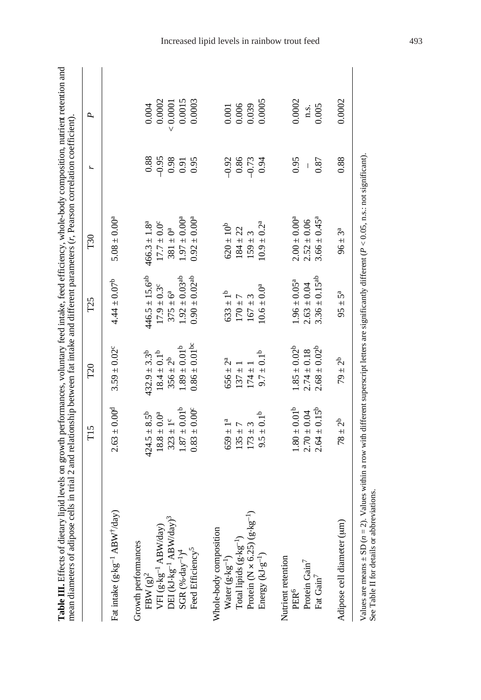| mean diameters of adipose cells in trial 2 and relationship between fat intake and different parameters $(r,$ Pearson correlation coefficient). |                              |                              |                                        |                        |         |          |
|-------------------------------------------------------------------------------------------------------------------------------------------------|------------------------------|------------------------------|----------------------------------------|------------------------|---------|----------|
|                                                                                                                                                 | T <sub>15</sub>              | T <sub>20</sub>              | T <sub>25</sub>                        | T30                    |         | ρ.       |
| Fat intake (g·kg <sup>-1</sup> ABW <sup>+</sup> /day)                                                                                           | $2.63 \pm 0.00^{d}$          | $3.59 \pm 0.02$ <sup>c</sup> | $4.44 \pm 0.07^b$                      | $5.08 \pm 0.00^a$      |         |          |
| Growth performances<br>$FBW (g)^2$                                                                                                              | $424.5 \pm 8.5^b$            | $432.9 \pm 3.3^b$            | $446.5 \pm 15.6^{ab}$                  | $466.3 \pm 1.8^a$      | 0.88    | 0.004    |
| $\begin{array}{l} \rm{VFI}\ (g\cdot kg^{-1}\ ABW/day)\\ \rm{DEI}\ (kJ\cdot kg^{-1}\ ABW/day)^3\\ \rm{SGR}\ (%~\cdot~day^{-1})^4 \end{array}$    | $18.8 \pm 0.0^a$             | $18.4 \pm 0.1^b$             | $17.9 \pm 0.3^{\circ}$                 | $17.7 \pm 0.0^{\circ}$ | $-0.95$ | 0.0002   |
|                                                                                                                                                 | $323 \pm 1^c$                | $356 \pm 2^{b}$              | $375 \pm 6^a$                          | $381 \pm 0^a$          | 0.98    | < 0.0001 |
|                                                                                                                                                 | $1.87 \pm 0.01^{\rm b}$      | $1.89 \pm 0.01^b$            | $.92 \pm 0.03$ <sup>ab</sup>           | 0.004                  | 0.91    | 0.0015   |
| Feed Efficiency <sup>5</sup>                                                                                                                    | $0.83 \pm 0.00$ <sup>c</sup> | $0.86 \pm 0.01$ bc           | $0.90 \pm 0.02^{ab}$                   | $0.92 \pm 0.00^a$      | 0.95    | 0.0003   |
| Whole-body composition                                                                                                                          |                              |                              |                                        |                        |         |          |
|                                                                                                                                                 | $659 \pm 1^{a}$              | $656 \pm 2^a$                | $633\pm1^{\rm b}$                      | $620\pm10^{\rm b}$     | $-0.92$ | 0.001    |
| Water $(g \cdot kg^{-1})$<br>Total lipids $(g \cdot kg^{-1})$                                                                                   | $135 \pm 7$                  | $137 \pm 1$                  | $170 + 7$                              | $184 \pm 22$           | 0.86    | 0.006    |
| Protein (N $\times$ 6.25) (g·kg <sup>-1</sup> )                                                                                                 | $173 + 3$                    | $174 \pm 1$                  | $167 \pm 3$                            | $159 \pm 3$            | $-0.73$ | 0.039    |
| Energy $(kJ \cdot g^{-1})$                                                                                                                      | $9.5 \pm 0.1^b$              | $9.7 \pm 0.1^b$              | $10.6 \pm 0.0^a$                       | $10.9 \pm 0.2^{\rm a}$ | 0.94    | 0.0005   |
| Nutrient retention                                                                                                                              |                              |                              |                                        |                        |         |          |
| PER <sup>6</sup>                                                                                                                                | $1.80 \pm 0.01^b$            | $1.85 \pm 0.02^b$            | $1.96 \pm 0.05^a$                      | $2.00 \pm 0.00^a$      | 0.95    | 0.0002   |
| Protein Gain <sup>7</sup>                                                                                                                       | $2.70 \pm 0.04$              | $2.74 \pm 0.18$              | $2.63 \pm 0.04$                        | $2.52 \pm 0.06$        |         | n.s.     |
| Fat Gain <sup>7</sup>                                                                                                                           | $2.64 \pm 0.15^{b}$          | $2.68 \pm 0.02^b$            | $3.36 \pm 0.15^{ab}$                   | $3.66 \pm 0.45^a$      | 0.87    | 0.005    |
| Adipose cell diameter (um)                                                                                                                      | $78 \pm 2^{b}$               | $79 \pm 2^{b}$               | $95 \pm 5^{\rm a}$                     | $96 \pm 3^a$           | 0.88    | 0.0002   |
|                                                                                                                                                 | $\ddotsc$                    | $\ddot{\phantom{0}}$         | $\ddot{\phantom{0}}$<br>$\ddot{\cdot}$ | $\frac{1}{2}$          |         |          |

Values are means  $\pm$  SD ( $n = 2$ ). Values within a row with different superscript letters are significantly different ( $P < 0.05$ , n.s.: not significant).<br>See Table II for details or abbreviations. Values are means  $\pm$  SD ( $n = 2$ ). Values within a row with different superscript letters are significantly different (*P* < 0.05, n.s.: not significant). See Table II for details or abbreviations.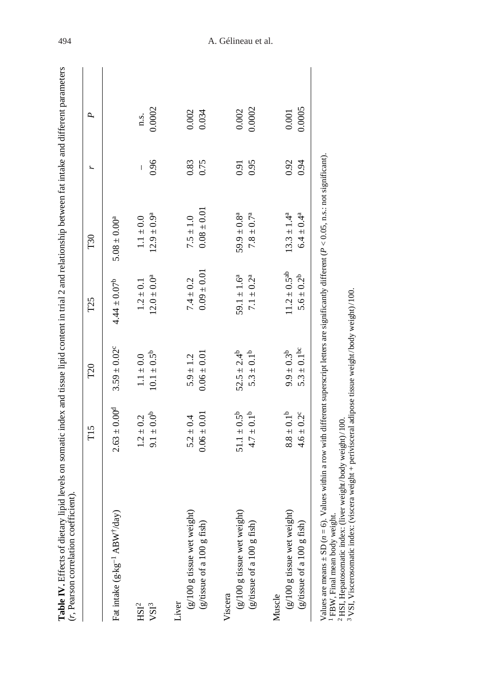|                                                           | T <sub>15</sub>                              | T <sub>20</sub>                       | T <sub>25</sub>                        | T30                                 |              | Р,              |
|-----------------------------------------------------------|----------------------------------------------|---------------------------------------|----------------------------------------|-------------------------------------|--------------|-----------------|
| Fat intake (g·kg <sup>-1</sup> ABW <sup>+</sup> /day)     | $2.63 \pm 0.00^{d}$                          | $3.59 \pm 0.02^{\circ}$               | $4.44 \pm 0.07^b$                      | $5.08 \pm 0.00^a$                   |              |                 |
| HSI <sup>2</sup><br>$\mathbf{V}\mathbf{S}\mathbf{I}^3$    | $9.1 \pm 0.0^b$<br>$1.2 \pm 0.2$             | $10.1 \pm 0.5^b$<br>$1.1 \pm 0.0$     | $12.0 \pm 0.0^a$<br>$1.2 \pm 0.1$      | $12.9 \pm 0.9^a$<br>$1.1 \pm 0.0$   | 0.96<br>I    | 0.0002<br>n.s.  |
| (g/100 g tissue wet weight)<br>Liver                      | $5.2 \pm 0.4$                                | $5.9 \pm 1.2$                         | $7.4 \pm 0.2$                          | $7.5 \pm 1.0$                       | 0.83         | 0.002           |
| (g/tissue of a $100$ g fish)                              | $0.06 \pm 0.01$                              | $0.06 \pm 0.01$                       | $0.09 \pm 0.01$                        | $0.08 \pm 0.01$                     | 0.75         | 0.034           |
| (g/100 g tissue wet weight)<br>Viscera                    | $51.1 \pm 0.5^{b}$                           | $52.5 \pm 2.4^b$                      | 59.1 $\pm$ 1.6 <sup>a</sup>            | $59.9 \pm 0.8^a$                    | 0.91         | 0.002           |
| (g/tissue of a 100 g fish)                                | $4.7 \pm 0.1^b$                              | $5.3 \pm 0.1^b$                       | $7.1 \pm 0.2^{\rm a}$                  | $7.8 \pm 0.7^{\rm a}$               | 0.95         | 0.0002          |
| Muscle                                                    |                                              |                                       |                                        |                                     |              |                 |
| (g/100 g tissue wet weight)<br>(g/tissue of a 100 g fish) | $8.8\pm0.1^{\rm b}$<br>$4.6 \pm 0.2^{\circ}$ | $5.3 \pm 0.1$ bc<br>$9.9 \pm 0.3^{b}$ | $11.2 \pm 0.5^{ab}$<br>$5.6 \pm 0.2^b$ | $13.3 \pm 1.4^a$<br>$6.4 \pm 0.4^a$ | 0.92<br>0.94 | 0.0005<br>0.001 |

VSI, Viscerosomatic index: (viscera weight + perivisceral adipose tissue weight/body weight)/100.

# 494 A. Gélineau et al.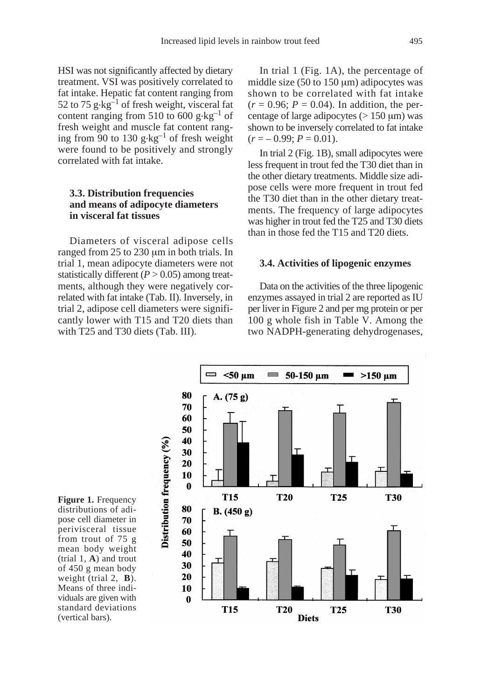HSI was not significantly affected by dietary treatment. VSI was positively correlated to fat intake. Hepatic fat content ranging from 52 to 75  $g \cdot kg^{-1}$  of fresh weight, visceral fat content ranging from 510 to 600 g $\text{kg}^{-1}$  of fresh weight and muscle fat content ranging from 90 to 130  $g \cdot kg^{-1}$  of fresh weight were found to be positively and strongly correlated with fat intake.

# **3.3. Distribution frequencies and means of adipocyte diameters in visceral fat tissues**

Diameters of visceral adipose cells ranged from 25 to 230 µm in both trials. In trial 1, mean adipocyte diameters were not statistically different  $(P > 0.05)$  among treatments, although they were negatively correlated with fat intake (Tab. II). Inversely, in trial 2, adipose cell diameters were significantly lower with T15 and T20 diets than with T25 and T30 diets (Tab. III).

In trial 1 (Fig. 1A), the percentage of middle size  $(50 \text{ to } 150 \text{ µm})$  adipocytes was shown to be correlated with fat intake  $(r = 0.96; P = 0.04)$ . In addition, the percentage of large adipocytes ( $> 150 \mu m$ ) was shown to be inversely correlated to fat intake  $(r = -0.99; P = 0.01)$ .

In trial 2 (Fig. 1B), small adipocytes were less frequent in trout fed the T30 diet than in the other dietary treatments. Middle size adipose cells were more frequent in trout fed the T30 diet than in the other dietary treatments. The frequency of large adipocytes was higher in trout fed the T25 and T30 diets than in those fed the T15 and T20 diets.

#### **3.4. Activities of lipogenic enzymes**

Data on the activities of the three lipogenic enzymes assayed in trial 2 are reported as IU per liver in Figure 2 and per mg protein or per 100 g whole fish in Table V. Among the two NADPH-generating dehydrogenases,



**Figure 1.** Frequency distributions of adipose cell diameter in perivisceral tissue from trout of 75 g mean body weight (trial 1, **A**) and trout of 450 g mean body weight (trial 2, **B**). Means of three individuals are given with standard deviations (vertical bars).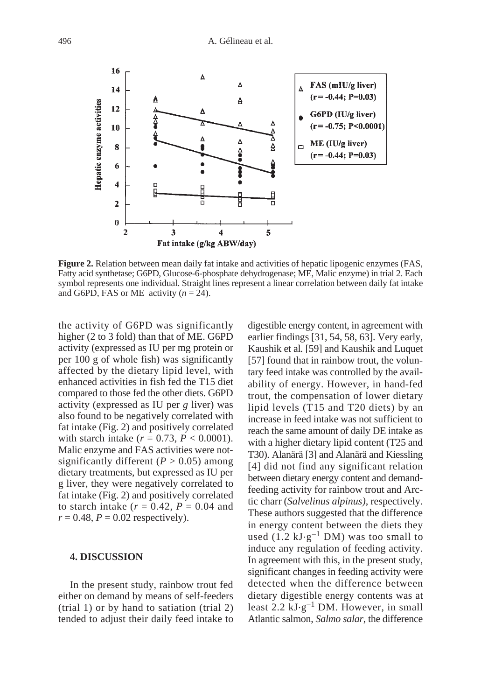

**Figure 2.** Relation between mean daily fat intake and activities of hepatic lipogenic enzymes (FAS, Fatty acid synthetase; G6PD, Glucose-6-phosphate dehydrogenase; ME, Malic enzyme) in trial 2. Each symbol represents one individual. Straight lines represent a linear correlation between daily fat intake and G6PD, FAS or ME activity  $(n = 24)$ .

the activity of G6PD was significantly higher (2 to 3 fold) than that of ME. G6PD activity (expressed as IU per mg protein or per 100 g of whole fish) was significantly affected by the dietary lipid level, with enhanced activities in fish fed the T15 diet compared to those fed the other diets. G6PD activity (expressed as IU per *g* liver) was also found to be negatively correlated with fat intake (Fig. 2) and positively correlated with starch intake  $(r = 0.73, P < 0.0001)$ . Malic enzyme and FAS activities were notsignificantly different  $(P > 0.05)$  among dietary treatments, but expressed as IU per g liver, they were negatively correlated to fat intake (Fig. 2) and positively correlated to starch intake  $(r = 0.42, P = 0.04$  and  $r = 0.48$ ,  $P = 0.02$  respectively).

#### **4. DISCUSSION**

In the present study, rainbow trout fed either on demand by means of self-feeders (trial 1) or by hand to satiation (trial 2) tended to adjust their daily feed intake to digestible energy content, in agreement with earlier findings [31, 54, 58, 63]. Very early, Kaushik et al*.* [59] and Kaushik and Luquet [57] found that in rainbow trout, the voluntary feed intake was controlled by the availability of energy. However, in hand-fed trout, the compensation of lower dietary lipid levels (T15 and T20 diets) by an increase in feed intake was not sufficient to reach the same amount of daily DE intake as with a higher dietary lipid content (T25 and T30). Alanärä [3] and Alanärä and Kiessling [4] did not find any significant relation between dietary energy content and demandfeeding activity for rainbow trout and Arctic charr (*Salvelinus alpinus)*, respectively. These authors suggested that the difference in energy content between the diets they used  $(1.2 \text{ kJ} \cdot \text{g}^{-1} \text{ DM})$  was too small to induce any regulation of feeding activity. In agreement with this, in the present study, significant changes in feeding activity were detected when the difference between dietary digestible energy contents was at least 2.2  $kJ \cdot g^{-1}$  DM. However, in small Atlantic salmon, *Salmo salar*, the difference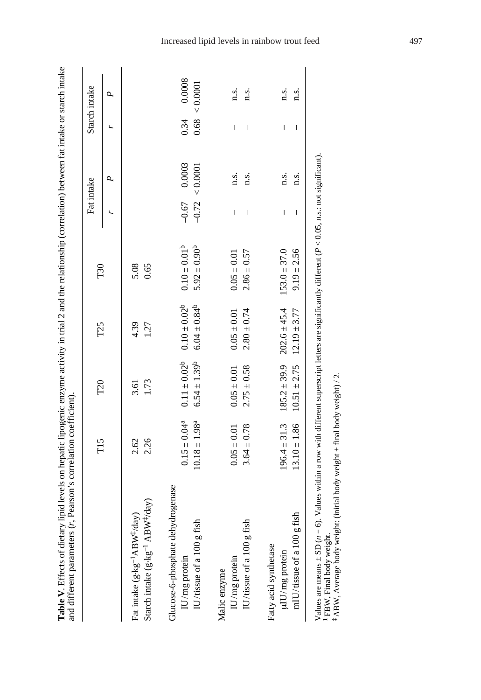|                                                     | T <sub>15</sub>    | T <sub>20</sub>     | T <sub>25</sub>     | T30               |         | Fat intake |      | Starch intake |
|-----------------------------------------------------|--------------------|---------------------|---------------------|-------------------|---------|------------|------|---------------|
|                                                     |                    |                     |                     |                   | r,      | ρ,         |      | P.            |
| Fat intake $(g \cdot kg^{-1}ABW^{\ddagger}/day)$    | 2.62               | 3.61                | 4.39                | 5.08              |         |            |      |               |
| Starch intake $(g \cdot kg^{-1} ABW^{\dagger}/day)$ | 2.26               | 1.73                | 1.27                | 0.65              |         |            |      |               |
| Glucose-6-phosphate dehydrogenase<br>IU/mg protein  | $0.15 \pm 0.04^a$  | $0.11 \pm 0.02^b$   | $0.10 \pm 0.02^b$   | $0.10 \pm 0.01^b$ | $-0.67$ | 0.0003     | 0.34 | 0.0008        |
| ish<br>$\rm{IU/tissue}$ of a $100~\rm{g}$ fi        | $10.18 \pm 1.98^a$ | $6.54 \pm 1.39^{b}$ | $6.04 \pm 0.84^{b}$ | $5.92 \pm 0.90^b$ | $-0.72$ | 0.0001     | 0.68 | 0.0001        |
| $\rm{IU/mg}$ protein<br>Malic enzyme                | $0.05 \pm 0.01$    | $0.05 \pm 0.01$     | $0.05 \pm 0.01$     | $0.05 \pm 0.01$   | I       | n.s.       | I    | n.s.          |
| IU/tissue of a $100 \text{ g}$ fish                 | $3.64 \pm 0.78$    | $2.75 \pm 0.58$     | $2.80 \pm 0.74$     | $2.86 \pm 0.57$   | I       | n.s.       | I    | n.s.          |
| Fatty acid synthetase<br>$\mu$ TU/mg protein        | $196.4 \pm 31.3$   | $185.2 \pm 39.9$    | $202.6 \pm 45.4$    | $153.0 \pm 37.0$  | I       | n.s.       | I    | n.s.          |
| fish<br>mIU/tissue of a 100 g                       | $13.10 \pm 1.86$   | $10.51 \pm 2.75$    | $12.19 \pm 3.77$    | $9.19 \pm 2.56$   | I       | n.s.       | I    | n.s.          |

 $^1$  FBW, Final body weight. <br>  $^1_+$  ABW, Average body weight (initial body weight + final body weight) / 2. FBW, Final body weight. ‡ ABW, Average body weight: (initial body weight + final body weight) / 2.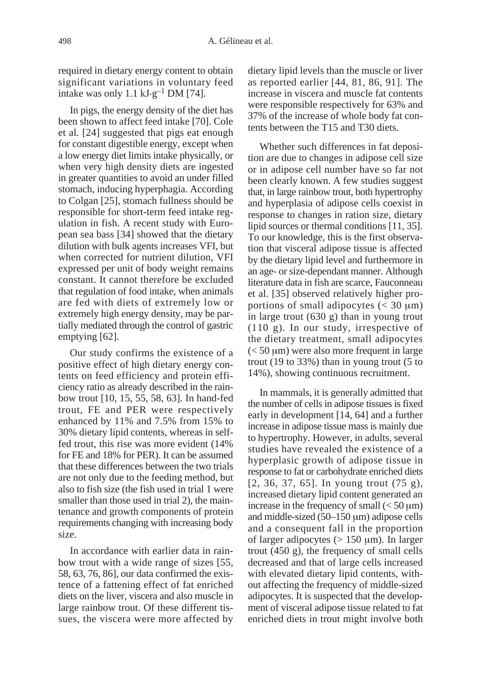required in dietary energy content to obtain significant variations in voluntary feed intake was only 1.1 kJ $\cdot$ g<sup>-1</sup> DM [74].

In pigs, the energy density of the diet has been shown to affect feed intake [70]. Cole et al*.* [24] suggested that pigs eat enough for constant digestible energy, except when a low energy diet limits intake physically, or when very high density diets are ingested in greater quantities to avoid an under filled stomach, inducing hyperphagia. According to Colgan [25], stomach fullness should be responsible for short-term feed intake regulation in fish. A recent study with European sea bass [34] showed that the dietary dilution with bulk agents increases VFI, but when corrected for nutrient dilution, VFI expressed per unit of body weight remains constant. It cannot therefore be excluded that regulation of food intake, when animals are fed with diets of extremely low or extremely high energy density, may be partially mediated through the control of gastric emptying [62].

Our study confirms the existence of a positive effect of high dietary energy contents on feed efficiency and protein efficiency ratio as already described in the rainbow trout [10, 15, 55, 58, 63]. In hand-fed trout, FE and PER were respectively enhanced by 11% and 7.5% from 15% to 30% dietary lipid contents, whereas in selffed trout, this rise was more evident (14% for FE and 18% for PER). It can be assumed that these differences between the two trials are not only due to the feeding method, but also to fish size (the fish used in trial 1 were smaller than those used in trial 2), the maintenance and growth components of protein requirements changing with increasing body size.

In accordance with earlier data in rainbow trout with a wide range of sizes [55, 58, 63, 76, 86], our data confirmed the existence of a fattening effect of fat enriched diets on the liver, viscera and also muscle in large rainbow trout. Of these different tissues, the viscera were more affected by dietary lipid levels than the muscle or liver as reported earlier [44, 81, 86, 91]. The increase in viscera and muscle fat contents were responsible respectively for 63% and 37% of the increase of whole body fat contents between the T15 and T30 diets.

Whether such differences in fat deposition are due to changes in adipose cell size or in adipose cell number have so far not been clearly known. A few studies suggest that, in large rainbow trout, both hypertrophy and hyperplasia of adipose cells coexist in response to changes in ration size, dietary lipid sources or thermal conditions [11, 35]. To our knowledge, this is the first observation that visceral adipose tissue is affected by the dietary lipid level and furthermore in an age- or size-dependant manner. Although literature data in fish are scarce, Fauconneau et al. [35] observed relatively higher proportions of small adipocytes  $\left($  < 30  $\mu$ m) in large trout (630 g) than in young trout (110 g). In our study, irrespective of the dietary treatment, small adipocytes  $(< 50 \mu m$ ) were also more frequent in large trout (19 to 33%) than in young trout (5 to 14%), showing continuous recruitment.

In mammals, it is generally admitted that the number of cells in adipose tissues is fixed early in development [14, 64] and a further increase in adipose tissue mass is mainly due to hypertrophy. However, in adults, several studies have revealed the existence of a hyperplasic growth of adipose tissue in response to fat or carbohydrate enriched diets [2, 36, 37, 65]. In young trout (75 g), increased dietary lipid content generated an increase in the frequency of small  $(< 50 \,\mu m)$ and middle-sized  $(50-150 \mu m)$  adipose cells and a consequent fall in the proportion of larger adipocytes  $(> 150 \mu m)$ . In larger trout (450 g), the frequency of small cells decreased and that of large cells increased with elevated dietary lipid contents, without affecting the frequency of middle-sized adipocytes. It is suspected that the development of visceral adipose tissue related to fat enriched diets in trout might involve both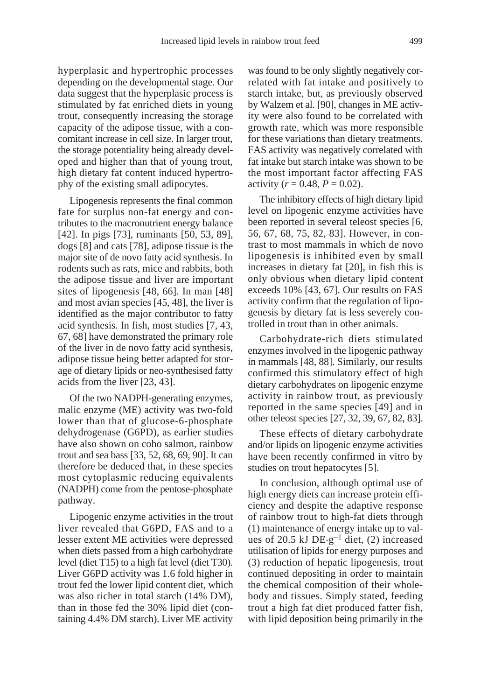hyperplasic and hypertrophic processes depending on the developmental stage. Our data suggest that the hyperplasic process is stimulated by fat enriched diets in young trout, consequently increasing the storage capacity of the adipose tissue, with a concomitant increase in cell size. In larger trout, the storage potentiality being already developed and higher than that of young trout, high dietary fat content induced hypertrophy of the existing small adipocytes.

Lipogenesis represents the final common fate for surplus non-fat energy and contributes to the macronutrient energy balance [42]. In pigs [73], ruminants [50, 53, 89], dogs [8] and cats [78], adipose tissue is the major site of de novo fatty acid synthesis. In rodents such as rats, mice and rabbits, both the adipose tissue and liver are important sites of lipogenesis [48, 66]. In man [48] and most avian species [45, 48], the liver is identified as the major contributor to fatty acid synthesis. In fish, most studies [7, 43, 67, 68] have demonstrated the primary role of the liver in de novo fatty acid synthesis, adipose tissue being better adapted for storage of dietary lipids or neo-synthesised fatty acids from the liver [23, 43].

Of the two NADPH-generating enzymes, malic enzyme (ME) activity was two-fold lower than that of glucose-6-phosphate dehydrogenase (G6PD), as earlier studies have also shown on coho salmon, rainbow trout and sea bass [33, 52, 68, 69, 90]. It can therefore be deduced that, in these species most cytoplasmic reducing equivalents (NADPH) come from the pentose-phosphate pathway.

Lipogenic enzyme activities in the trout liver revealed that G6PD, FAS and to a lesser extent ME activities were depressed when diets passed from a high carbohydrate level (diet T15) to a high fat level (diet T30). Liver G6PD activity was 1.6 fold higher in trout fed the lower lipid content diet, which was also richer in total starch (14% DM), than in those fed the 30% lipid diet (containing 4.4% DM starch). Liver ME activity

was found to be only slightly negatively correlated with fat intake and positively to starch intake, but, as previously observed by Walzem et al. [90], changes in ME activity were also found to be correlated with growth rate, which was more responsible for these variations than dietary treatments. FAS activity was negatively correlated with fat intake but starch intake was shown to be the most important factor affecting FAS activity ( $r = 0.48$ ,  $P = 0.02$ ).

The inhibitory effects of high dietary lipid level on lipogenic enzyme activities have been reported in several teleost species [6, 56, 67, 68, 75, 82, 83]. However, in contrast to most mammals in which de novo lipogenesis is inhibited even by small increases in dietary fat [20], in fish this is only obvious when dietary lipid content exceeds 10% [43, 67]. Our results on FAS activity confirm that the regulation of lipogenesis by dietary fat is less severely controlled in trout than in other animals.

Carbohydrate-rich diets stimulated enzymes involved in the lipogenic pathway in mammals [48, 88]. Similarly, our results confirmed this stimulatory effect of high dietary carbohydrates on lipogenic enzyme activity in rainbow trout, as previously reported in the same species [49] and in other teleost species [27, 32, 39, 67, 82, 83].

These effects of dietary carbohydrate and/or lipids on lipogenic enzyme activities have been recently confirmed in vitro by studies on trout hepatocytes [5].

In conclusion, although optimal use of high energy diets can increase protein efficiency and despite the adaptive response of rainbow trout to high-fat diets through (1) maintenance of energy intake up to values of 20.5 kJ  $DE \cdot g^{-1}$  diet, (2) increased utilisation of lipids for energy purposes and (3) reduction of hepatic lipogenesis, trout continued depositing in order to maintain the chemical composition of their wholebody and tissues. Simply stated, feeding trout a high fat diet produced fatter fish, with lipid deposition being primarily in the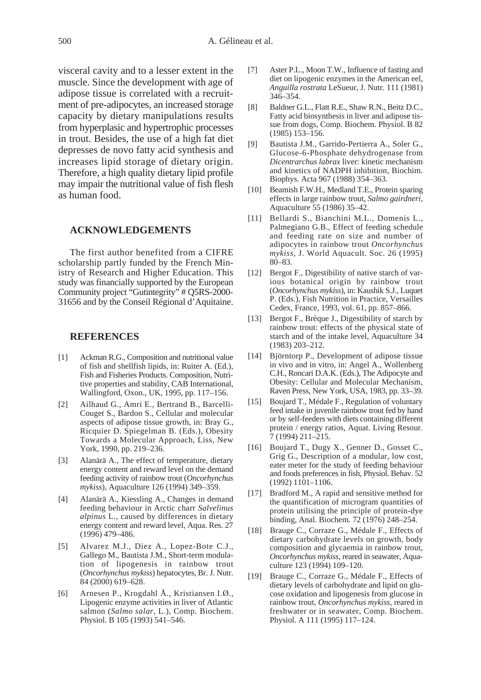visceral cavity and to a lesser extent in the muscle. Since the development with age of adipose tissue is correlated with a recruitment of pre-adipocytes, an increased storage capacity by dietary manipulations results from hyperplasic and hypertrophic processes in trout. Besides, the use of a high fat diet depresses de novo fatty acid synthesis and increases lipid storage of dietary origin. Therefore, a high quality dietary lipid profile may impair the nutritional value of fish flesh as human food.

## **ACKNOWLEDGEMENTS**

The first author benefited from a CIFRE scholarship partly funded by the French Ministry of Research and Higher Education. This study was financially supported by the European Community project "Gutintegrity" # Q5RS-2000- 31656 and by the Conseil Régional d'Aquitaine.

#### **REFERENCES**

- [1] Ackman R.G., Composition and nutritional value of fish and shellfish lipids, in: Ruiter A. (Ed.), Fish and Fisheries Products. Composition, Nutritive properties and stability, CAB International, Wallingford, Oxon., UK, 1995, pp. 117–156.
- [2] Ailhaud G., Amri E., Bertrand B., Barcelli-Couget S., Bardon S., Cellular and molecular aspects of adipose tissue growth, in: Bray G., Ricquier D. Spiegelman B. (Eds.), Obesity Towards a Molecular Approach, Liss, New York, 1990, pp. 219–236.
- [3] Alanärä A., The effect of temperature, dietary energy content and reward level on the demand feeding activity of rainbow trout (*Oncorhynchus mykiss*), Aquaculture 126 (1994) 349–359.
- [4] Alanärä A., Kiessling A., Changes in demand feeding behaviour in Arctic charr *Salvelinus alpinus* L., caused by differences in dietary energy content and reward level, Aqua. Res. 27 (1996) 479–486.
- [5] Alvarez M.J., Diez A., Lopez-Bote C.J., Gallego M., Bautista J.M., Short-term modulation of lipogenesis in rainbow trout (*Oncorhynchus mykiss*) hepatocytes, Br. J. Nutr. 84 (2000) 619–628.
- [6] Arnesen P., Krogdahl Å., Kristiansen I.Ø., Lipogenic enzyme activities in liver of Atlantic salmon (*Salmo salar*, L.), Comp. Biochem. Physiol. B 105 (1993) 541–546.
- [7] Aster P.L., Moon T.W., Influence of fasting and diet on lipogenic enzymes in the American eel, *Anguilla rostrata* LeSueur, J. Nutr. 111 (1981) 346–354.
- [8] Baldner G.L., Flatt R.E., Shaw R.N., Beitz D.C., Fatty acid biosynthesis in liver and adipose tissue from dogs, Comp. Biochem. Physiol. B 82 (1985) 153–156.
- [9] Bautista J.M., Garrido-Pertierra A., Soler G., Glucose-6-Phosphate dehydrogenase from *Dicentrarchus labrax* liver: kinetic mechanism and kinetics of NADPH inhibition, Biochim. Biophys. Acta 967 (1988) 354–363.
- [10] Beamish F.W.H., Medland T.E., Protein sparing effects in large rainbow trout, *Salmo gairdneri*, Aquaculture 55 (1986) 35–42.
- [11] Bellardi S., Bianchini M.L., Domenis L., Palmegiano G.B., Effect of feeding schedule and feeding rate on size and number of adipocytes in rainbow trout *Oncorhynchus mykiss,* J. World Aquacult. Soc. 26 (1995) 80–83.
- [12] Bergot F., Digestibility of native starch of various botanical origin by rainbow trout (*Oncorhynchus mykiss*), in: Kaushik S.J., Luquet P. (Eds.), Fish Nutrition in Practice, Versailles Cedex, France, 1993, vol. 61, pp. 857–866.
- [13] Bergot F., Brèque J., Digestibility of starch by rainbow trout: effects of the physical state of starch and of the intake level, Aquaculture 34 (1983) 203–212.
- [14] Björntorp P., Development of adipose tissue in vivo and in vitro, in: Angel A., Wollenberg C.H., Roncari D.A.K. (Eds.), The Adipocyte and Obesity: Cellular and Molecular Mechanism, Raven Press, New York, USA, 1983, pp. 33–39.
- [15] Boujard T., Médale F., Regulation of voluntary feed intake in juvenile rainbow trout fed by hand or by self-feeders with diets containing different protein / energy ratios, Aquat. Living Resour. 7 (1994) 211–215.
- [16] Boujard T., Dugy X., Genner D., Gosset C., Grig G., Description of a modular, low cost, eater meter for the study of feeding behaviour and foods preferences in fish, Physiol. Behav. 52 (1992) 1101–1106.
- [17] Bradford M., A rapid and sensitive method for the quantification of microgram quantities of protein utilising the principle of protein-dye binding, Anal. Biochem*.* 72 (1976) 248–254.
- [18] Brauge C., Corraze G., Médale F., Effects of dietary carbohydrate levels on growth, body composition and glycaemia in rainbow trout, *Oncorhynchus mykiss*, reared in seawater, Aquaculture 123 (1994) 109–120.
- [19] Brauge C., Corraze G., Médale F., Effects of dietary levels of carbohydrate and lipid on glucose oxidation and lipogenesis from glucose in rainbow trout*, Oncorhynchus mykiss*, reared in freshwater or in seawater, Comp. Biochem. Physiol. A 111 (1995) 117–124.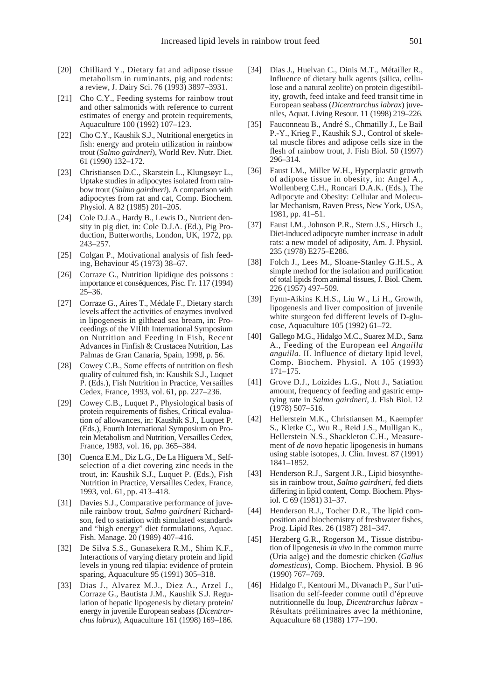- [20] Chilliard Y., Dietary fat and adipose tissue metabolism in ruminants, pig and rodents: a review, J. Dairy Sci. 76 (1993) 3897–3931.
- [21] Cho C.Y., Feeding systems for rainbow trout and other salmonids with reference to current estimates of energy and protein requirements, Aquaculture 100 (1992) 107–123.
- [22] Cho C.Y., Kaushik S.J., Nutritional energetics in fish: energy and protein utilization in rainbow trout (*Salmo gairdneri*), World Rev. Nutr. Diet. 61 (1990) 132–172.
- [23] Christiansen D.C., Skarstein L., Klungsøyr L., Uptake studies in adipocytes isolated from rainbow trout (*Salmo gairdneri*). A comparison with adipocytes from rat and cat, Comp. Biochem. Physiol. A 82 (1985) 201–205.
- [24] Cole D.J.A., Hardy B., Lewis D., Nutrient density in pig diet, in: Cole D.J.A. (Ed.), Pig Production, Butterworths, London, UK, 1972, pp. 243–257.
- [25] Colgan P., Motivational analysis of fish feeding, Behaviour 45 (1973) 38–67.
- [26] Corraze G., Nutrition lipidique des poissons : importance et conséquences, Pisc. Fr. 117 (1994) 25–36.
- [27] Corraze G., Aires T., Médale F., Dietary starch levels affect the activities of enzymes involved in lipogenesis in gilthead sea bream, in: Proceedings of the VIIIth International Symposium on Nutrition and Feeding in Fish, Recent Advances in Finfish & Crustacea Nutrition, Las Palmas de Gran Canaria, Spain, 1998, p. 56.
- [28] Cowey C.B., Some effects of nutrition on flesh quality of cultured fish, in: Kaushik S.J., Luquet P. (Eds.), Fish Nutrition in Practice, Versailles Cedex, France, 1993, vol. 61, pp. 227–236.
- [29] Cowey C.B., Luquet P., Physiological basis of protein requirements of fishes, Critical evaluation of allowances, in: Kaushik S.J., Luquet P. (Eds.), Fourth International Symposium on Protein Metabolism and Nutrition, Versailles Cedex, France, 1983, vol. 16, pp. 365–384.
- [30] Cuenca E.M., Diz L.G., De La Higuera M., Selfselection of a diet covering zinc needs in the trout, in: Kaushik S.J., Luquet P. (Eds.), Fish Nutrition in Practice, Versailles Cedex, France, 1993, vol. 61, pp. 413–418.
- [31] Davies S.J., Comparative performance of juvenile rainbow trout, *Salmo gairdneri* Richardson, fed to satiation with simulated «standard» and "high energy" diet formulations, Aquac. Fish. Manage. 20 (1989) 407–416.
- [32] De Silva S.S., Gunasekera R.M., Shim K.F., Interactions of varying dietary protein and lipid levels in young red tilapia: evidence of protein sparing, Aquaculture 95 (1991) 305–318.
- [33] Dias J., Alvarez M.J., Diez A., Arzel J., Corraze G., Bautista J.M., Kaushik S.J. Regulation of hepatic lipogenesis by dietary protein/ energy in juvenile European seabass (*Dicentrarchus labrax*), Aquaculture 161 (1998) 169–186.
- [34] Dias J., Huelvan C., Dinis M.T., Métailler R., Influence of dietary bulk agents (silica, cellulose and a natural zeolite) on protein digestibility, growth, feed intake and feed transit time in European seabass (*Dicentrarchus labrax*) juveniles, Aquat. Living Resour*.* 11 (1998) 219–226.
- [35] Fauconneau B., André S., Chmatilly J., Le Bail P.-Y., Krieg F., Kaushik S.J., Control of skeletal muscle fibres and adipose cells size in the flesh of rainbow trout, J. Fish Biol*.* 50 (1997) 296–314.
- [36] Faust I.M., Miller W.H., Hyperplastic growth of adipose tissue in obesity, in: Angel A., Wollenberg C.H., Roncari D.A.K. (Eds.), The Adipocyte and Obesity: Cellular and Molecular Mechanism, Raven Press, New York, USA, 1981, pp. 41–51.
- [37] Faust I.M., Johnson P.R., Stern J.S., Hirsch J., Diet-induced adipocyte number increase in adult rats: a new model of adiposity, Am. J. Physiol*.* 235 (1978) E275–E286.
- [38] Folch J., Lees M., Sloane-Stanley G.H.S., A simple method for the isolation and purification of total lipids from animal tissues, J. Biol. Chem*.* 226 (1957) 497–509.
- [39] Fynn-Aikins K.H.S., Liu W., Li H., Growth, lipogenesis and liver composition of juvenile white sturgeon fed different levels of D-glucose, Aquaculture 105 (1992) 61–72.
- [40] Gallego M.G., Hidalgo M.C., Suarez M.D., Sanz A., Feeding of the European eel *Anguilla anguilla*. II. Influence of dietary lipid level, Comp. Biochem. Physiol. A 105 (1993) 171–175.
- [41] Grove D.J., Loizides L.G., Nott J., Satiation amount, frequency of feeding and gastric emptying rate in *Salmo gairdneri,* J. Fish Biol. 12 (1978) 507–516.
- [42] Hellerstein M.K., Christiansen M., Kaempfer S., Kletke C., Wu R., Reid J.S., Mulligan K., Hellerstein N.S., Shackleton C.H., Measurement of *de novo* hepatic lipogenesis in humans using stable isotopes, J. Clin. Invest. 87 (1991) 1841–1852.
- [43] Henderson R.J., Sargent J.R., Lipid biosynthesis in rainbow trout, *Salmo gairdneri*, fed diets differing in lipid content, Comp. Biochem. Physiol. C 69 (1981) 31–37.
- [44] Henderson R.J., Tocher D.R., The lipid composition and biochemistry of freshwater fishes, Prog. Lipid Res. 26 (1987) 281–347.
- [45] Herzberg G.R., Rogerson M., Tissue distribution of lipogenesis *in vivo* in the common murre (Uria aalge) and the domestic chicken (*Gallus domesticus*), Comp. Biochem. Physiol. B 96 (1990) 767–769.
- [46] Hidalgo F., Kentouri M., Divanach P., Sur l'utilisation du self-feeder comme outil d'épreuve nutritionnelle du loup, *Dicentrarchus labrax* - Résultats préliminaires avec la méthionine, Aquaculture 68 (1988) 177–190.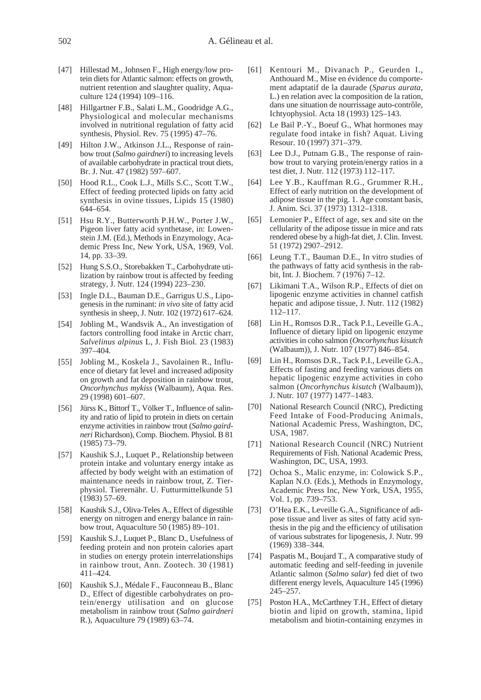- [47] Hillestad M., Johnsen F., High energy/low protein diets for Atlantic salmon: effects on growth, nutrient retention and slaughter quality, Aquaculture 124 (1994) 109–116.
- [48] Hillgartner F.B., Salati L.M., Goodridge A.G., Physiological and molecular mechanisms involved in nutritional regulation of fatty acid synthesis, Physiol. Rev*.* 75 (1995) 47–76.
- [49] Hilton J.W., Atkinson J.L., Response of rainbow trout (*Salmo gairdneri*) to increasing levels of available carbohydrate in practical trout diets, Br. J. Nut. 47 (1982) 597–607.
- [50] Hood R.L., Cook L.J., Mills S.C., Scott T.W., Effect of feeding protected lipids on fatty acid synthesis in ovine tissues, Lipids 15 (1980) 644–654.
- [51] Hsu R.Y., Butterworth P.H.W., Porter J.W., Pigeon liver fatty acid synthetase, in: Lowenstein J.M. (Ed.), Methods in Enzymology, Academic Press Inc, New York, USA, 1969, Vol. 14, pp. 33–39.
- [52] Hung S.S.O., Storebakken T., Carbohydrate utilization by rainbow trout is affected by feeding strategy, J. Nutr. 124 (1994) 223–230.
- [53] Ingle D.L., Bauman D.E., Garrigus U.S., Lipogenesis in the ruminant: *in vivo* site of fatty acid synthesis in sheep, J. Nutr. 102 (1972) 617–624.
- [54] Jobling M., Wandsvik A., An investigation of factors controlling food intake in Arctic charr, *Salvelinus alpinus* L, J. Fish Biol*.* 23 (1983) 397–404.
- [55] Jobling M., Koskela J., Savolainen R., Influence of dietary fat level and increased adiposity on growth and fat deposition in rainbow trout, *Oncorhynchus mykiss* (Walbaum), Aqua. Res. 29 (1998) 601–607.
- [56] Jürss K., Bittorf T., Völker T., Influence of salinity and ratio of lipid to protein in diets on certain enzyme activities in rainbow trout (*Salmo gairdneri* Richardson), Comp. Biochem. Physiol. B 81 (1985) 73–79.
- [57] Kaushik S.J., Luquet P., Relationship between protein intake and voluntary energy intake as affected by body weight with an estimation of maintenance needs in rainbow trout, Z. Tierphysiol. Tierernähr. U. Futturmittelkunde 51 (1983) 57–69.
- [58] Kaushik S.J., Oliva-Teles A., Effect of digestible energy on nitrogen and energy balance in rainbow trout, Aquaculture 50 (1985) 89–101.
- [59] Kaushik S.J., Luquet P., Blanc D., Usefulness of feeding protein and non protein calories apart in studies on energy protein interrelationships in rainbow trout, Ann. Zootech. 30 (1981) 411–424.
- [60] Kaushik S.J., Médale F., Fauconneau B., Blanc D., Effect of digestible carbohydrates on protein/energy utilisation and on glucose metabolism in rainbow trout (*Salmo gairdneri* R.), Aquaculture 79 (1989) 63–74.
- [61] Kentouri M., Divanach P., Geurden I., Anthouard M., Mise en évidence du comportement adaptatif de la daurade (*Sparus aurata*, L.) en relation avec la composition de la ration, dans une situation de nourrissage auto-contrôle, Ichtyophysiol. Acta 18 (1993) 125–143.
- [62] Le Bail P.-Y., Boeuf G., What hormones may regulate food intake in fish? Aquat. Living Resour. 10 (1997) 371–379.
- [63] Lee D.J., Putnam G.B., The response of rainbow trout to varying protein/energy ratios in a test diet, J. Nutr. 112 (1973) 112–117.
- [64] Lee Y.B., Kauffman R.G., Grummer R.H., Effect of early nutrition on the development of adipose tissue in the pig. 1. Age constant basis, J. Anim. Sci. 37 (1973) 1312–1318.
- [65] Lemonier P., Effect of age, sex and site on the cellularity of the adipose tissue in mice and rats rendered obese by a high-fat diet, J. Clin. Invest. 51 (1972) 2907–2912.
- [66] Leung T.T., Bauman D.E., In vitro studies of the pathways of fatty acid synthesis in the rabbit, Int. J. Biochem. 7 (1976) 7–12.
- [67] Likimani T.A., Wilson R.P., Effects of diet on lipogenic enzyme activities in channel catfish hepatic and adipose tissue, J. Nutr. 112 (1982) 112–117.
- [68] Lin H., Romsos D.R., Tack P.I., Leveille G.A., Influence of dietary lipid on lipogenic enzyme activities in coho salmon (*Oncorhynchus kisutch* (Walbaum)), J. Nutr*.* 107 (1977) 846–854.
- [69] Lin H., Romsos D.R., Tack P.I., Leveille G.A., Effects of fasting and feeding various diets on hepatic lipogenic enzyme activities in coho salmon (*Oncorhynchus kisutch* (Walbaum)), J. Nutr*.* 107 (1977) 1477–1483.
- [70] National Research Council (NRC), Predicting Feed Intake of Food-Producing Animals, National Academic Press, Washington, DC, USA, 1987.
- [71] National Research Council (NRC) Nutrient Requirements of Fish. National Academic Press, Washington, DC, USA, 1993.
- [72] Ochoa S., Malic enzyme, in: Colowick S.P., Kaplan N.O. (Eds.), Methods in Enzymology, Academic Press Inc, New York, USA, 1955, Vol. 1, pp. 739–753.
- [73] O'Hea E.K., Leveille G.A., Significance of adipose tissue and liver as sites of fatty acid synthesis in the pig and the efficiency of utilisation of various substrates for lipogenesis, J. Nutr*.* 99 (1969) 338–344.
- [74] Paspatis M., Boujard T., A comparative study of automatic feeding and self-feeding in juvenile Atlantic salmon (*Salmo salar*) fed diet of two different energy levels, Aquaculture 145 (1996) 245–257.
- [75] Poston H.A., McCarthney T.H., Effect of dietary biotin and lipid on growth, stamina, lipid metabolism and biotin-containing enzymes in